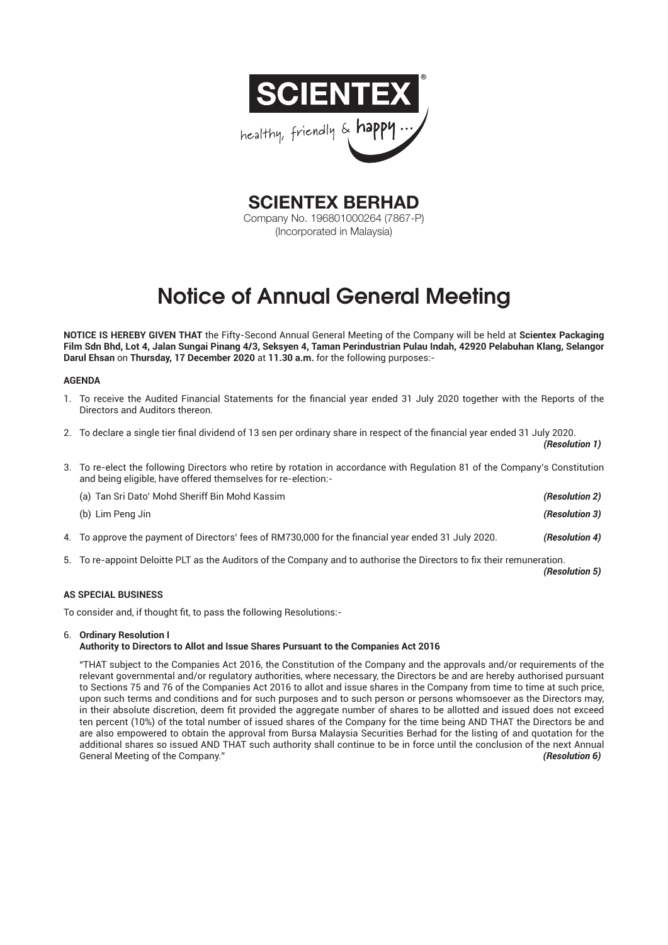

**SCIENTEX BERHAD** Company No. 196801000264 (7867-P) (Incorporated in Malaysia)

# Notice of Annual General Meeting

**NOTICE IS HEREBY GIVEN THAT** the Fifty-Second Annual General Meeting of the Company will be held at **Scientex Packaging Film Sdn Bhd, Lot 4, Jalan Sungai Pinang 4/3, Seksyen 4, Taman Perindustrian Pulau Indah, 42920 Pelabuhan Klang, Selangor Darul Ehsan** on **Thursday, 17 December 2020** at **11.30 a.m.** for the following purposes:-

# **AGENDA**

- 1. To receive the Audited Financial Statements for the financial year ended 31 July 2020 together with the Reports of the Directors and Auditors thereon.
- 2. To declare a single tier final dividend of 13 sen per ordinary share in respect of the financial year ended 31 July 2020. *(Resolution 1)*
- 3. To re-elect the following Directors who retire by rotation in accordance with Regulation 81 of the Company's Constitution and being eligible, have offered themselves for re-election:-

 (a) Tan Sri Dato' Mohd Sheriff Bin Mohd Kassim *(Resolution 2)* (b) Lim Peng Jin *(Resolution 3) (b)* Lim Peng Jin *(Resolution 3)* 4. To approve the payment of Directors' fees of RM730,000 for the financial year ended 31 July 2020. *(Resolution 4)* 

5. To re-appoint Deloitte PLT as the Auditors of the Company and to authorise the Directors to fix their remuneration.

*(Resolution 5)*

# **AS SPECIAL BUSINESS**

To consider and, if thought fit, to pass the following Resolutions:-

# 6. **Ordinary Resolution I**

# **Authority to Directors to Allot and Issue Shares Pursuant to the Companies Act 2016**

 "THAT subject to the Companies Act 2016, the Constitution of the Company and the approvals and/or requirements of the relevant governmental and/or regulatory authorities, where necessary, the Directors be and are hereby authorised pursuant to Sections 75 and 76 of the Companies Act 2016 to allot and issue shares in the Company from time to time at such price, upon such terms and conditions and for such purposes and to such person or persons whomsoever as the Directors may, in their absolute discretion, deem fit provided the aggregate number of shares to be allotted and issued does not exceed ten percent (10%) of the total number of issued shares of the Company for the time being AND THAT the Directors be and are also empowered to obtain the approval from Bursa Malaysia Securities Berhad for the listing of and quotation for the additional shares so issued AND THAT such authority shall continue to be in force until the conclusion of the next Annual General Meeting of the Company." *(Resolution 6)*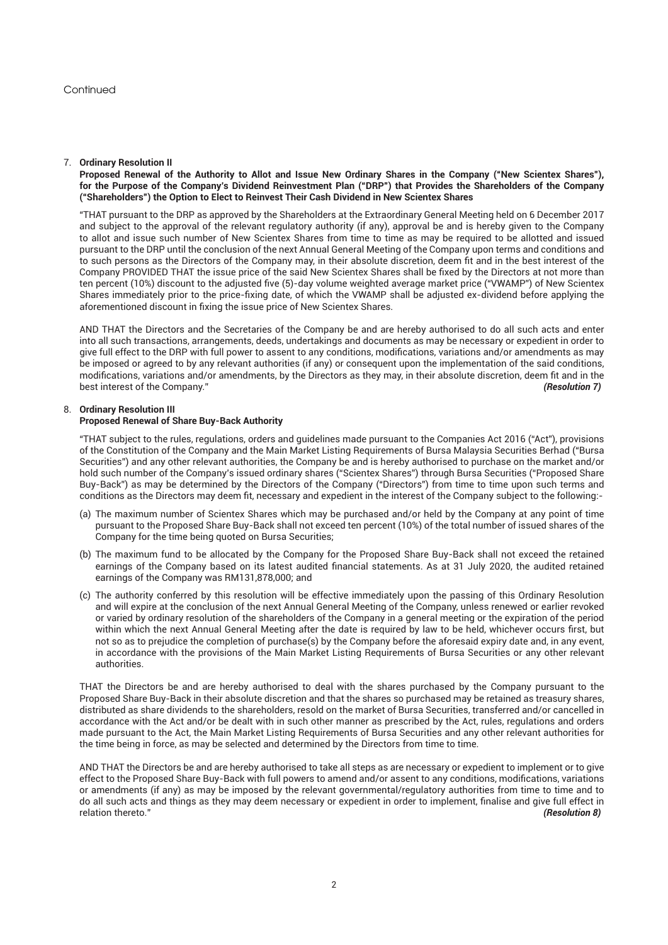# 7. **Ordinary Resolution II**

**Proposed Renewal of the Authority to Allot and Issue New Ordinary Shares in the Company ("New Scientex Shares"), for the Purpose of the Company's Dividend Reinvestment Plan ("DRP") that Provides the Shareholders of the Company ("Shareholders") the Option to Elect to Reinvest Their Cash Dividend in New Scientex Shares**

 "THAT pursuant to the DRP as approved by the Shareholders at the Extraordinary General Meeting held on 6 December 2017 and subject to the approval of the relevant regulatory authority (if any), approval be and is hereby given to the Company to allot and issue such number of New Scientex Shares from time to time as may be required to be allotted and issued pursuant to the DRP until the conclusion of the next Annual General Meeting of the Company upon terms and conditions and to such persons as the Directors of the Company may, in their absolute discretion, deem fit and in the best interest of the Company PROVIDED THAT the issue price of the said New Scientex Shares shall be fixed by the Directors at not more than ten percent (10%) discount to the adjusted five (5)-day volume weighted average market price ("VWAMP") of New Scientex Shares immediately prior to the price-fixing date, of which the VWAMP shall be adjusted ex-dividend before applying the aforementioned discount in fixing the issue price of New Scientex Shares.

 AND THAT the Directors and the Secretaries of the Company be and are hereby authorised to do all such acts and enter into all such transactions, arrangements, deeds, undertakings and documents as may be necessary or expedient in order to give full effect to the DRP with full power to assent to any conditions, modifications, variations and/or amendments as may be imposed or agreed to by any relevant authorities (if any) or consequent upon the implementation of the said conditions, modifications, variations and/or amendments, by the Directors as they may, in their absolute discretion, deem fit and in the best interest of the Company." *(Resolution 7)*

## 8. **Ordinary Resolution III Proposed Renewal of Share Buy-Back Authority**

 "THAT subject to the rules, regulations, orders and guidelines made pursuant to the Companies Act 2016 ("Act"), provisions of the Constitution of the Company and the Main Market Listing Requirements of Bursa Malaysia Securities Berhad ("Bursa Securities") and any other relevant authorities, the Company be and is hereby authorised to purchase on the market and/or hold such number of the Company's issued ordinary shares ("Scientex Shares") through Bursa Securities ("Proposed Share Buy-Back") as may be determined by the Directors of the Company ("Directors") from time to time upon such terms and conditions as the Directors may deem fit, necessary and expedient in the interest of the Company subject to the following:-

- (a) The maximum number of Scientex Shares which may be purchased and/or held by the Company at any point of time pursuant to the Proposed Share Buy-Back shall not exceed ten percent (10%) of the total number of issued shares of the Company for the time being quoted on Bursa Securities;
- (b) The maximum fund to be allocated by the Company for the Proposed Share Buy-Back shall not exceed the retained earnings of the Company based on its latest audited financial statements. As at 31 July 2020, the audited retained earnings of the Company was RM131,878,000; and
- (c) The authority conferred by this resolution will be effective immediately upon the passing of this Ordinary Resolution and will expire at the conclusion of the next Annual General Meeting of the Company, unless renewed or earlier revoked or varied by ordinary resolution of the shareholders of the Company in a general meeting or the expiration of the period within which the next Annual General Meeting after the date is required by law to be held, whichever occurs first, but not so as to prejudice the completion of purchase(s) by the Company before the aforesaid expiry date and, in any event, in accordance with the provisions of the Main Market Listing Requirements of Bursa Securities or any other relevant authorities.

THAT the Directors be and are hereby authorised to deal with the shares purchased by the Company pursuant to the Proposed Share Buy-Back in their absolute discretion and that the shares so purchased may be retained as treasury shares, distributed as share dividends to the shareholders, resold on the market of Bursa Securities, transferred and/or cancelled in accordance with the Act and/or be dealt with in such other manner as prescribed by the Act, rules, regulations and orders made pursuant to the Act, the Main Market Listing Requirements of Bursa Securities and any other relevant authorities for the time being in force, as may be selected and determined by the Directors from time to time.

 AND THAT the Directors be and are hereby authorised to take all steps as are necessary or expedient to implement or to give effect to the Proposed Share Buy-Back with full powers to amend and/or assent to any conditions, modifications, variations or amendments (if any) as may be imposed by the relevant governmental/regulatory authorities from time to time and to do all such acts and things as they may deem necessary or expedient in order to implement, finalise and give full effect in relation thereto." *(Resolution 8)*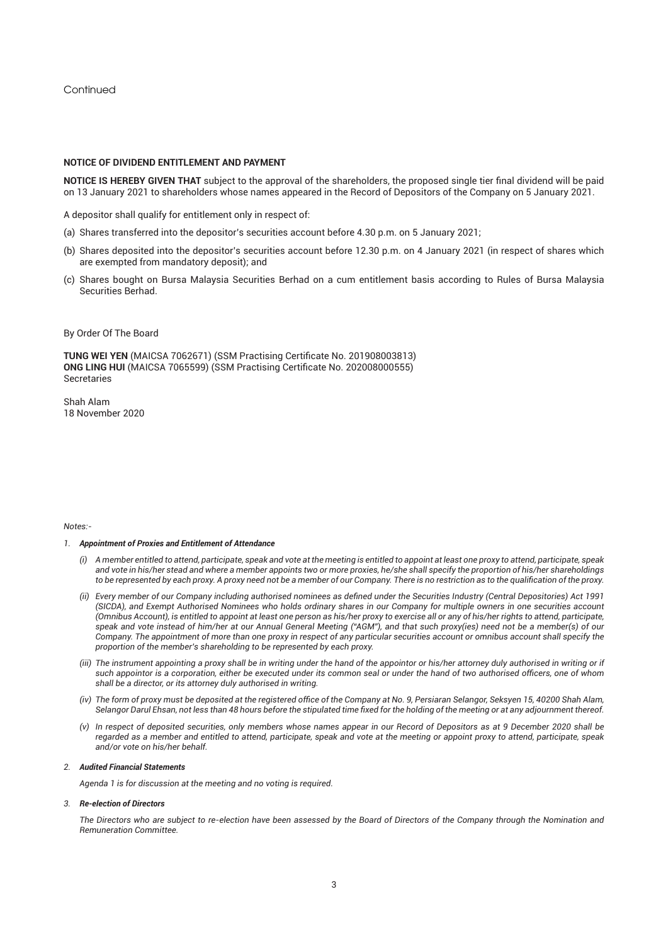Continued

## **NOTICE OF DIVIDEND ENTITLEMENT AND PAYMENT**

**NOTICE IS HEREBY GIVEN THAT** subject to the approval of the shareholders, the proposed single tier final dividend will be paid on 13 January 2021 to shareholders whose names appeared in the Record of Depositors of the Company on 5 January 2021.

A depositor shall qualify for entitlement only in respect of:

- (a) Shares transferred into the depositor's securities account before 4.30 p.m. on 5 January 2021;
- (b) Shares deposited into the depositor's securities account before 12.30 p.m. on 4 January 2021 (in respect of shares which are exempted from mandatory deposit); and
- (c) Shares bought on Bursa Malaysia Securities Berhad on a cum entitlement basis according to Rules of Bursa Malaysia Securities Berhad.
- By Order Of The Board

**TUNG WEI YEN** (MAICSA 7062671) (SSM Practising Certificate No. 201908003813) **ONG LING HUI** (MAICSA 7065599) (SSM Practising Certificate No. 202008000555) Secretaries

Shah Alam 18 November 2020

#### *Notes:-*

### *1. Appointment of Proxies and Entitlement of Attendance*

- *(i) A member entitled to attend, participate, speak and vote at the meeting is entitled to appoint at least one proxy to attend, participate, speak and vote in his/her stead and where a member appoints two or more proxies, he/she shall specify the proportion of his/her shareholdings to be represented by each proxy. A proxy need not be a member of our Company. There is no restriction as to the qualification of the proxy.*
- *(ii) Every member of our Company including authorised nominees as defined under the Securities Industry (Central Depositories) Act 1991 (SICDA), and Exempt Authorised Nominees who holds ordinary shares in our Company for multiple owners in one securities account (Omnibus Account), is entitled to appoint at least one person as his/her proxy to exercise all or any of his/her rights to attend, participate, speak and vote instead of him/her at our Annual General Meeting ("AGM"), and that such proxy(ies) need not be a member(s) of our Company. The appointment of more than one proxy in respect of any particular securities account or omnibus account shall specify the proportion of the member's shareholding to be represented by each proxy.*
- *(iii) The instrument appointing a proxy shall be in writing under the hand of the appointor or his/her attorney duly authorised in writing or if such appointor is a corporation, either be executed under its common seal or under the hand of two authorised officers, one of whom shall be a director, or its attorney duly authorised in writing.*
- *(iv) The form of proxy must be deposited at the registered office of the Company at No. 9, Persiaran Selangor, Seksyen 15, 40200 Shah Alam, Selangor Darul Ehsan, not less than 48 hours before the stipulated time fixed for the holding of the meeting or at any adjournment thereof.*
- *(v) In respect of deposited securities, only members whose names appear in our Record of Depositors as at 9 December 2020 shall be regarded as a member and entitled to attend, participate, speak and vote at the meeting or appoint proxy to attend, participate, speak and/or vote on his/her behalf.*

## *2. Audited Financial Statements*

*Agenda 1 is for discussion at the meeting and no voting is required.*

## *3. Re-election of Directors*

*The Directors who are subject to re-election have been assessed by the Board of Directors of the Company through the Nomination and Remuneration Committee.*